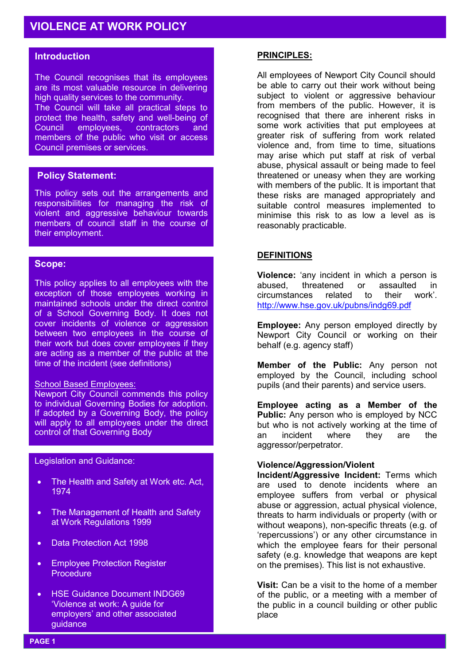# **Introduction**

The Council recognises that its employees are its most valuable resource in delivering high quality services to the community. The Council will take all practical steps to protect the health, safety and well-being of<br>Council employees. contractors and employees, contractors and members of the public who visit or access Council premises or services.

## **Policy Statement:**

This policy sets out the arrangements and responsibilities for managing the risk of violent and aggressive behaviour towards members of council staff in the course of their employment.

## **Scope:**

This policy applies to all employees with the exception of those employees working in maintained schools under the direct control of a School Governing Body. It does not cover incidents of violence or aggression between two employees in the course of their work but does cover employees if they are acting as a member of the public at the time of the incident (see definitions)

## School Based Employees:

Newport City Council commends this policy to individual Governing Bodies for adoption. If adopted by a Governing Body, the policy will apply to all employees under the direct control of that Governing Body

Legislation and Guidance:

- The Health and Safety at Work etc. Act, 1974
- The Management of Health and Safety at Work Regulations 1999
- Data Protection Act 1998
- Employee Protection Register **Procedure**
- HSE Guidance Document INDG69 'Violence at work: A guide for employers' and other associated guidance

## **PRINCIPLES:**

All employees of Newport City Council should be able to carry out their work without being subject to violent or aggressive behaviour from members of the public. However, it is recognised that there are inherent risks in some work activities that put employees at greater risk of suffering from work related violence and, from time to time, situations may arise which put staff at risk of verbal abuse, physical assault or being made to feel threatened or uneasy when they are working with members of the public. It is important that these risks are managed appropriately and suitable control measures implemented to minimise this risk to as low a level as is reasonably practicable.

## **DEFINITIONS**

**Violence:** 'any incident in which a person is abused, threatened or assaulted in circumstances related to their work'. http://www.hse.gov.uk/pubns/indg69.pdf

**Employee:** Any person employed directly by Newport City Council or working on their behalf (e.g. agency staff)

**Member of the Public:** Any person not employed by the Council, including school pupils (and their parents) and service users.

**Employee acting as a Member of the Public:** Any person who is employed by NCC but who is not actively working at the time of an incident where they are the aggressor/perpetrator.

## **Violence/Aggression/Violent**

**Incident/Aggressive Incident:** Terms which are used to denote incidents where an employee suffers from verbal or physical abuse or aggression, actual physical violence, threats to harm individuals or property (with or without weapons), non-specific threats (e.g. of 'repercussions') or any other circumstance in which the employee fears for their personal safety (e.g. knowledge that weapons are kept on the premises). This list is not exhaustive.

**Visit:** Can be a visit to the home of a member of the public, or a meeting with a member of the public in a council building or other public place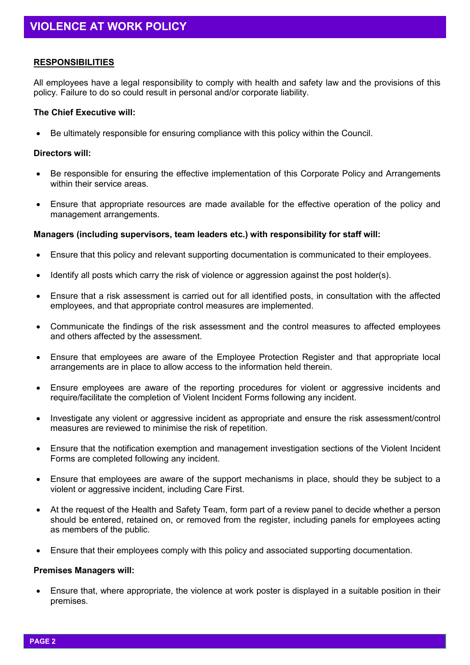## **RESPONSIBILITIES**

All employees have a legal responsibility to comply with health and safety law and the provisions of this policy. Failure to do so could result in personal and/or corporate liability.

#### **The Chief Executive will:**

• Be ultimately responsible for ensuring compliance with this policy within the Council.

#### **Directors will:**

- Be responsible for ensuring the effective implementation of this Corporate Policy and Arrangements within their service areas.
- Ensure that appropriate resources are made available for the effective operation of the policy and management arrangements.

#### **Managers (including supervisors, team leaders etc.) with responsibility for staff will:**

- Ensure that this policy and relevant supporting documentation is communicated to their employees.
- Identify all posts which carry the risk of violence or aggression against the post holder(s).
- Ensure that a risk assessment is carried out for all identified posts, in consultation with the affected employees, and that appropriate control measures are implemented.
- Communicate the findings of the risk assessment and the control measures to affected employees and others affected by the assessment.
- Ensure that employees are aware of the Employee Protection Register and that appropriate local arrangements are in place to allow access to the information held therein.
- Ensure employees are aware of the reporting procedures for violent or aggressive incidents and require/facilitate the completion of Violent Incident Forms following any incident.
- Investigate any violent or aggressive incident as appropriate and ensure the risk assessment/control measures are reviewed to minimise the risk of repetition.
- Ensure that the notification exemption and management investigation sections of the Violent Incident Forms are completed following any incident.
- Ensure that employees are aware of the support mechanisms in place, should they be subject to a violent or aggressive incident, including Care First.
- At the request of the Health and Safety Team, form part of a review panel to decide whether a person should be entered, retained on, or removed from the register, including panels for employees acting as members of the public.
- Ensure that their employees comply with this policy and associated supporting documentation.

#### **Premises Managers will:**

• Ensure that, where appropriate, the violence at work poster is displayed in a suitable position in their premises.